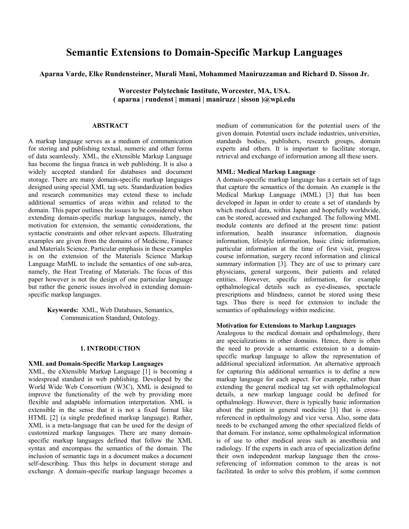# **Semantic Extensions to Domain-Specific Markup Languages**

**Aparna Varde, Elke Rundensteiner, Murali Mani, Mohammed Maniruzzaman and Richard D. Sisson Jr.** 

**Worcester Polytechnic Institute, Worcester, MA, USA. ( aparna | rundenst | mmani | maniruzz | sisson )@wpi.edu** 

# **ABSTRACT**

A markup language serves as a medium of communication for storing and publishing textual, numeric and other forms of data seamlessly. XML, the eXtensible Markup Language has become the lingua franca in web publishing. It is also a widely accepted standard for databases and document storage. There are many domain-specific markup languages designed using special XML tag sets. Standardization bodies and research communities may extend these to include additional semantics of areas within and related to the domain. This paper outlines the issues to be considered when extending domain-specific markup languages, namely, the motivation for extension, the semantic considerations, the syntactic constraints and other relevant aspects. Illustrating examples are given from the domains of Medicine, Finance and Materials Science. Particular emphasis in these examples is on the extension of the Materials Science Markup Language MatML to include the semantics of one sub-area, namely, the Heat Treating of Materials. The focus of this paper however is not the design of one particular language but rather the generic issues involved in extending domainspecific markup languages.

> **Keywords:** XML, Web Databases, Semantics, Communication Standard, Ontology.

#### **1. INTRODUCTION**

## **XML and Domain-Specific Markup Languages**

XML, the eXtensible Markup Language [1] is becoming a widespread standard in web publishing. Developed by the World Wide Web Consortium (W3C), XML is designed to improve the functionality of the web by providing more flexible and adaptable information interpretation. XML is extensible in the sense that it is not a fixed format like HTML [2] (a single predefined markup language). Rather, XML is a meta-language that can be used for the design of customized markup languages. There are many domainspecific markup languages defined that follow the XML syntax and encompass the semantics of the domain. The inclusion of semantic tags in a document makes a document self-describing. Thus this helps in document storage and exchange. A domain-specific markup language becomes a

medium of communication for the potential users of the given domain. Potential users include industries, universities, standards bodies, publishers, research groups, domain experts and others. It is important to facilitate storage, retrieval and exchange of information among all these users.

#### **MML: Medical Markup Language**

A domain-specific markup language has a certain set of tags that capture the semantics of the domain. An example is the Medical Markup Language (MML) [3] that has been developed in Japan in order to create a set of standards by which medical data, within Japan and hopefully worldwide, can be stored, accessed and exchanged. The following MML module contents are defined at the present time: patient information, health insurance information, diagnosis information, lifestyle information, basic clinic information, particular information at the time of first visit, progress course information, surgery record information and clinical summary information [3]. They are of use to primary care physicians, general surgeons, their patients and related entities. However, specific information, for example opthalmological details such as eye-diseases, spectacle prescriptions and blindness, cannot be stored using these tags. Thus there is need for extension to include the semantics of opthalmology within medicine.

# **Motivation for Extensions to Markup Languages**

Analogous to the medical domain and opthalmology, there are specializations in other domains. Hence, there is often the need to provide a semantic extension to a domainspecific markup language to allow the representation of additional specialized information. An alternative approach for capturing this additional semantics is to define a new markup language for each aspect. For example, rather than extending the general medical tag set with opthalmological details, a new markup language could be defined for opthalmology. However, there is typically basic information about the patient in general medicine [3] that is crossreferenced in opthalmology and vice versa. Also, some data needs to be exchanged among the other specialized fields of that domain. For instance, some opthalmological information is of use to other medical areas such as anesthesia and radiology. If the experts in each area of specialization define their own independent markup language then the crossreferencing of information common to the areas is not facilitated. In order to solve this problem, if some common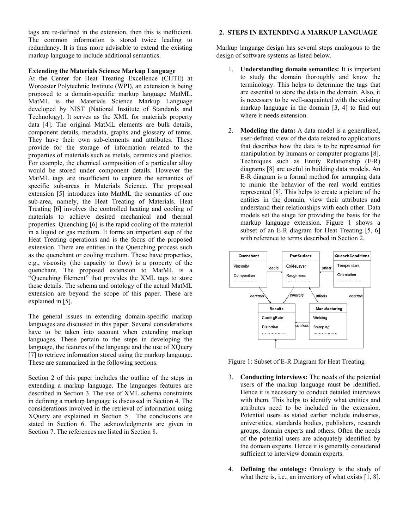tags are re-defined in the extension, then this is inefficient. The common information is stored twice leading to redundancy. It is thus more advisable to extend the existing markup language to include additional semantics.

## **Extending the Materials Science Markup Language**

At the Center for Heat Treating Excellence (CHTE) at Worcester Polytechnic Institute (WPI), an extension is being proposed to a domain-specific markup language MatML. MatML is the Materials Science Markup Language developed by NIST (National Institute of Standards and Technology). It serves as the XML for materials property data [4]. The original MatML elements are bulk details, component details, metadata, graphs and glossary of terms. They have their own sub-elements and attributes. These provide for the storage of information related to the properties of materials such as metals, ceramics and plastics. For example, the chemical composition of a particular alloy would be stored under component details. However the MatML tags are insufficient to capture the semantics of specific sub-areas in Materials Science. The proposed extension [5] introduces into MatML the semantics of one sub-area, namely, the Heat Treating of Materials. Heat Treating [6] involves the controlled heating and cooling of materials to achieve desired mechanical and thermal properties. Quenching [6] is the rapid cooling of the material in a liquid or gas medium. It forms an important step of the Heat Treating operations and is the focus of the proposed extension. There are entities in the Quenching process such as the quenchant or cooling medium. These have properties, e.g., viscosity (the capacity to flow) is a property of the quenchant. The proposed extension to MatML is a "Quenching Element" that provides the XML tags to store these details. The schema and ontology of the actual MatML extension are beyond the scope of this paper. These are explained in [5].

The general issues in extending domain-specific markup languages are discussed in this paper. Several considerations have to be taken into account when extending markup languages. These pertain to the steps in developing the language, the features of the language and the use of XOuery [7] to retrieve information stored using the markup language. These are summarized in the following sections.

Section 2 of this paper includes the outline of the steps in extending a markup language. The languages features are described in Section 3. The use of XML schema constraints in defining a markup language is discussed in Section 4. The considerations involved in the retrieval of information using XQuery are explained in Section 5. The conclusions are stated in Section 6. The acknowledgments are given in Section 7. The references are listed in Section 8.

# **2. STEPS IN EXTENDING A MARKUP LANGUAGE**

Markup language design has several steps analogous to the design of software systems as listed below.

- 1. **Understanding domain semantics:** It is important to study the domain thoroughly and know the terminology. This helps to determine the tags that are essential to store the data in the domain. Also, it is necessary to be well-acquainted with the existing markup language in the domain [3, 4] to find out where it needs extension.
- 2. **Modeling the data:** A data model is a generalized, user-defined view of the data related to applications that describes how the data is to be represented for manipulation by humans or computer programs [8]. Techniques such as Entity Relationship (E-R) diagrams [8] are useful in building data models. An E-R diagram is a formal method for arranging data to mimic the behavior of the real world entities represented [8]. This helps to create a picture of the entities in the domain, view their attributes and understand their relationships with each other. Data models set the stage for providing the basis for the markup language extension. Figure 1 shows a subset of an E-R diagram for Heat Treating [5, 6] with reference to terms described in Section 2.



Figure 1: Subset of E-R Diagram for Heat Treating

- 3. **Conducting interviews:** The needs of the potential users of the markup language must be identified. Hence it is necessary to conduct detailed interviews with them. This helps to identify what entities and attributes need to be included in the extension. Potential users as stated earlier include industries, universities, standards bodies, publishers, research groups, domain experts and others. Often the needs of the potential users are adequately identified by the domain experts. Hence it is generally considered sufficient to interview domain experts.
- 4. **Defining the ontology:** Ontology is the study of what there is, i.e., an inventory of what exists [1, 8].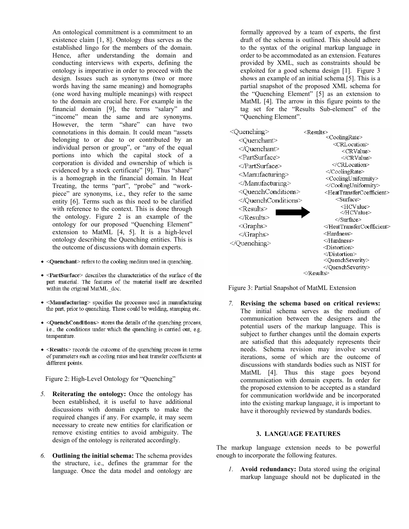An ontological commitment is a commitment to an existence claim [1, 8]. Ontology thus serves as the established lingo for the members of the domain. Hence, after understanding the domain and conducting interviews with experts, defining the ontology is imperative in order to proceed with the design. Issues such as synonyms (two or more words having the same meaning) and homographs (one word having multiple meanings) with respect to the domain are crucial here. For example in the financial domain [9], the terms "salary" and "income" mean the same and are synonyms. However, the term "share" can have two connotations in this domain. It could mean "assets belonging to or due to or contributed by an individual person or group", or "any of the equal portions into which the capital stock of a corporation is divided and ownership of which is evidenced by a stock certificate" [9]. Thus "share" is a homograph in the financial domain. In Heat Treating, the terms "part", "probe" and "workpiece" are synonyms, i.e., they refer to the same entity [6]. Terms such as this need to be clarified with reference to the context. This is done through the ontology. Figure 2 is an example of the ontology for our proposed "Quenching Element" extension to MatML [4, 5]. It is a high-level ontology describing the Quenching entities. This is the outcome of discussions with domain experts.

- < Quenchant>refers to the cooling medium used in quenching.
- <PartSurface> describes the characteristics of the surface of the part material. The features of the material itself are described within the original MatML doc.
- $\bullet$  <Manufacturing> specifies the processes used in manufacturing the part, prior to quenching. These could be welding, stamping etc.
- < QuenchConditions> stores the details of the quenching process, i.e., the conditions under which the quenching is carried out, e.g. temperature.
- $\bullet$  <Results> records the outcome of the quenching process in terms of parameters such as cooling rates and heat transfer coefficients at different points.

Figure 2: High-Level Ontology for "Quenching"

- *5.* **Reiterating the ontology:** Once the ontology has been established, it is useful to have additional discussions with domain experts to make the required changes if any. For example, it may seem necessary to create new entities for clarification or remove existing entities to avoid ambiguity. The design of the ontology is reiterated accordingly.
- *6.* **Outlining the initial schema:** The schema provides the structure, i.e., defines the grammar for the language. Once the data model and ontology are

formally approved by a team of experts, the first draft of the schema is outlined. This should adhere to the syntax of the original markup language in order to be accommodated as an extension. Features provided by XML, such as constraints should be exploited for a good schema design [1]. Figure 3 shows an example of an initial schema [5]. This is a partial snapshot of the proposed XML schema for the "Quenching Element" [5] as an extension to MatML [4]. The arrow in this figure points to the tag set for the "Results Sub-element" of the "Quenching Element".

| <quenching></quenching>               | <results></results>                                      |
|---------------------------------------|----------------------------------------------------------|
| <quenchant></quenchant>               | <coolingrate></coolingrate>                              |
|                                       | <crlocation></crlocation>                                |
| <partsurface></partsurface>           | <crvalue><br/><math>\langle</math>/CRValue&gt;</crvalue> |
|                                       | $\triangleleft$ CRLocation>                              |
|                                       |                                                          |
| <manufacturing></manufacturing>       | <coolinguniformity></coolinguniformity>                  |
|                                       |                                                          |
| <quenchconditions></quenchconditions> | <heattransfercoefficient></heattransfercoefficient>      |
|                                       | <surface></surface>                                      |
| <results></results>                   | <hcvalue></hcvalue>                                      |
|                                       |                                                          |
| $\le$ Graphs $>$                      | $\le$ /Surface><br>                                      |
|                                       | $\leq$ Hardness $\geq$                                   |
| $<$ /Graphs>                          | $\triangleleft$ Hardness $\triangleright$                |
| $\triangle$ Quenching>                | <distortion></distortion>                                |
|                                       | $<$ Distortion>                                          |
|                                       | <quenchseverity></quenchseverity>                        |
|                                       | $\triangleleft$ QuenchSeverity>                          |
| $<$ Results $>$                       |                                                          |

Figure 3: Partial Snapshot of MatML Extension

*7.* **Revising the schema based on critical reviews:** The initial schema serves as the medium of communication between the designers and the potential users of the markup language. This is subject to further changes until the domain experts are satisfied that this adequately represents their needs. Schema revision may involve several iterations, some of which are the outcome of discussions with standards bodies such as NIST for MatML [4]. Thus this stage goes beyond communication with domain experts. In order for the proposed extension to be accepted as a standard for communication worldwide and be incorporated into the existing markup language, it is important to have it thoroughly reviewed by standards bodies.

## **3. LANGUAGE FEATURES**

The markup language extension needs to be powerful enough to incorporate the following features.

*1.* **Avoid redundancy:** Data stored using the original markup language should not be duplicated in the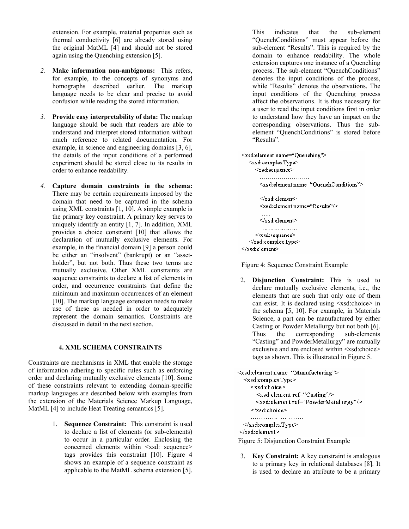extension. For example, material properties such as thermal conductivity [6] are already stored using the original MatML [4] and should not be stored again using the Quenching extension [5].

- *2.* **Make information non-ambiguous:** This refers, for example, to the concepts of synonyms and homographs described earlier. The markup language needs to be clear and precise to avoid confusion while reading the stored information.
- *3.* **Provide easy interpretability of data:** The markup language should be such that readers are able to understand and interpret stored information without much reference to related documentation. For example, in science and engineering domains [3, 6], the details of the input conditions of a performed experiment should be stored close to its results in order to enhance readability.
- *4.* **Capture domain constraints in the schema:** There may be certain requirements imposed by the domain that need to be captured in the schema using XML constraints [1, 10]. A simple example is the primary key constraint. A primary key serves to uniquely identify an entity [1, 7]. In addition, XML provides a choice constraint [10] that allows the declaration of mutually exclusive elements. For example, in the financial domain [9] a person could be either an "insolvent" (bankrupt) or an "assetholder", but not both. Thus these two terms are mutually exclusive. Other XML constraints are sequence constraints to declare a list of elements in order, and occurrence constraints that define the minimum and maximum occurrences of an element [10]. The markup language extension needs to make use of these as needed in order to adequately represent the domain semantics. Constraints are discussed in detail in the next section.

# **4. XML SCHEMA CONSTRAINTS**

Constraints are mechanisms in XML that enable the storage of information adhering to specific rules such as enforcing order and declaring mutually exclusive elements [10]. Some of these constraints relevant to extending domain-specific markup languages are described below with examples from the extension of the Materials Science Markup Language, MatML [4] to include Heat Treating semantics [5].

> 1. **Sequence Constraint:** This constraint is used to declare a list of elements (or sub-elements) to occur in a particular order. Enclosing the concerned elements within <xsd: sequence> tags provides this constraint [10]. Figure 4 shows an example of a sequence constraint as applicable to the MatML schema extension [5].

This indicates that the sub-element "QuenchConditions" must appear before the sub-element "Results". This is required by the domain to enhance readability. The whole extension captures one instance of a Quenching process. The sub-element "QuenchConditions" denotes the input conditions of the process, while "Results" denotes the observations. The input conditions of the Quenching process affect the observations. It is thus necessary for a user to read the input conditions first in order to understand how they have an impact on the corresponding observations. Thus the subelement "QuenchConditions" is stored before "Results".

```
<xsd:element name="Quenching">
  <xsd:complexType>
     <xsd:sequence>
       <xsd:element name="QuenchConditions">
       \le/x sd: element>
       <xsd:element name="Results"/>
       \ldots\le/x sd: element>
       . . . . . . . . . . . . . . . . . .
     </xsd:sequence>
  </xsd:complexType>
\le/xsd: element>
```
Figure 4: Sequence Constraint Example

2. **Disjunction Constraint:** This is used to declare mutually exclusive elements, i.e., the elements that are such that only one of them can exist. It is declared using <xsd:choice> in the schema [5, 10]. For example, in Materials Science, a part can be manufactured by either Casting or Powder Metallurgy but not both [6]. Thus the corresponding sub-elements "Casting" and PowderMetallurgy" are mutually exclusive and are enclosed within <xsd:choice> tags as shown. This is illustrated in Figure 5.

```
<xsd:element name="Manufacturing">
 <xsd:complexType>
    <xsd:choice>
      <xsd:element ref="Casting"/>
      <xsd:element ref="PowderMetallurgy"/>
    </xsd:choice>
    \le/xsd:complexType>
\le/xsd:element>
```
- Figure 5: Disjunction Constraint Example
- 3. **Key Constraint:** A key constraint is analogous to a primary key in relational databases [8]. It is used to declare an attribute to be a primary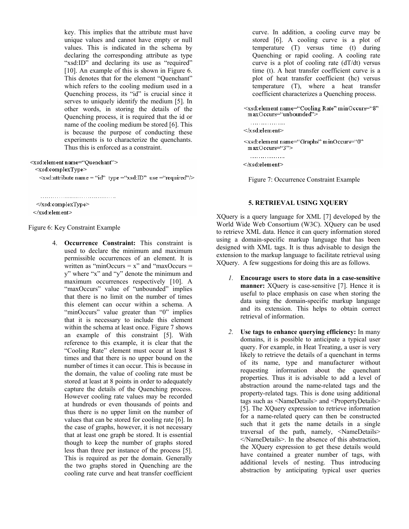key. This implies that the attribute must have unique values and cannot have empty or null values. This is indicated in the schema by declaring the corresponding attribute as type "xsd:ID" and declaring its use as "required" [10]. An example of this is shown in Figure 6. This denotes that for the element "Quenchant" which refers to the cooling medium used in a Quenching process, its "id" is crucial since it serves to uniquely identify the medium [5]. In other words, in storing the details of the Quenching process, it is required that the id or name of the cooling medium be stored [6]. This is because the purpose of conducting these experiments is to characterize the quenchants. Thus this is enforced as a constraint.

<xsd:element name="Quenchant">

<xsd:complexType>

<xsd:attribute name = "id" type = "xsd: ID" use = "required" />

 $\le$ /xsd:complexType>

 $\le$ /xsd:element>

Figure 6: Key Constraint Example

4. **Occurrence Constraint:** This constraint is used to declare the minimum and maximum permissible occurrences of an element. It is written as "minOccurs  $= x$ " and "maxOccurs  $=$ y" where "x" and "y" denote the minimum and maximum occurrences respectively [10]. A "maxOccurs" value of "unbounded" implies that there is no limit on the number of times this element can occur within a schema. A "minOccurs" value greater than "0" implies that it is necessary to include this element within the schema at least once. Figure 7 shows an example of this constraint [5]. With reference to this example, it is clear that the "Cooling Rate" element must occur at least 8 times and that there is no upper bound on the number of times it can occur. This is because in the domain, the value of cooling rate must be stored at least at 8 points in order to adequately capture the details of the Quenching process. However cooling rate values may be recorded at hundreds or even thousands of points and thus there is no upper limit on the number of values that can be stored for cooling rate [6]. In the case of graphs, however, it is not necessary that at least one graph be stored. It is essential though to keep the number of graphs stored less than three per instance of the process [5]. This is required as per the domain. Generally the two graphs stored in Quenching are the cooling rate curve and heat transfer coefficient

curve. In addition, a cooling curve may be stored [6]. A cooling curve is a plot of temperature (T) versus time (t) during Quenching or rapid cooling. A cooling rate curve is a plot of cooling rate (dT/dt) versus time (t). A heat transfer coefficient curve is a plot of heat transfer coefficient (hc) versus temperature (T), where a heat transfer coefficient characterizes a Quenching process.

<xsd:element name="Cooling Rate" minOccurs="8"  $maxOccurs$   $``unbounded'$ 

 $\le$ /xsd:element> <xsd:element name="Graphs" minOccurs="0" maxOccurs="3">

. . . . . . . . . . . . . . . . .

. . . . . . . . . . . . . . . . .

 $\le$ /x sd:element>

Figure 7: Occurrence Constraint Example

# **5. RETRIEVAL USING XQUERY**

XQuery is a query language for XML [7] developed by the World Wide Web Consortium (W3C). XQuery can be used to retrieve XML data. Hence it can query information stored using a domain-specific markup language that has been designed with XML tags. It is thus advisable to design the extension to the markup language to facilitate retrieval using XQuery. A few suggestions for doing this are as follows.

- *1.* **Encourage users to store data in a case-sensitive manner:** XQuery is case-sensitive [7]. Hence it is useful to place emphasis on case when storing the data using the domain-specific markup language and its extension. This helps to obtain correct retrieval of information.
- *2.* **Use tags to enhance querying efficiency:** In many domains, it is possible to anticipate a typical user query. For example, in Heat Treating, a user is very likely to retrieve the details of a quenchant in terms of its name, type and manufacturer without requesting information about the quenchant properties. Thus it is advisable to add a level of abstraction around the name-related tags and the property-related tags. This is done using additional tags such as <NameDetails> and <PropertyDetails> [5]. The XQuery expression to retrieve information for a name-related query can then be constructed such that it gets the name details in a single traversal of the path, namely, <NameDetails> </NameDetails>. In the absence of this abstraction, the XQuery expression to get these details would have contained a greater number of tags, with additional levels of nesting. Thus introducing abstraction by anticipating typical user queries